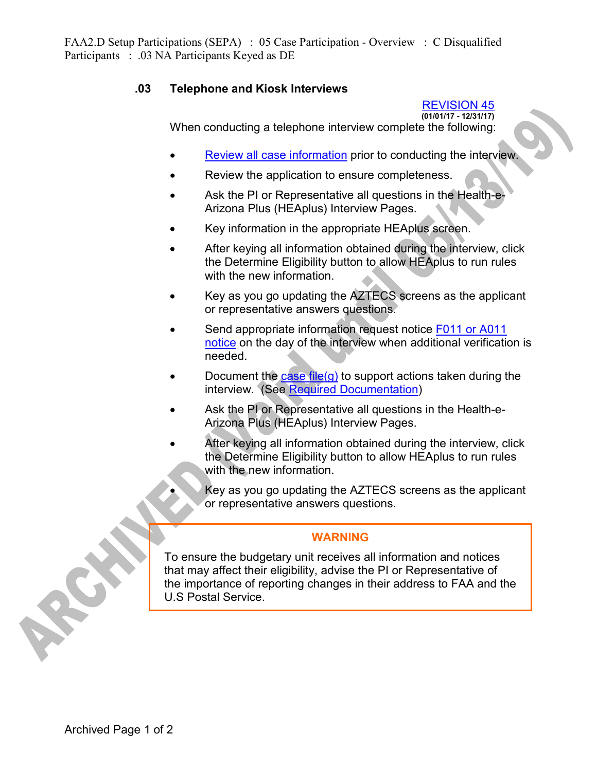FAA2.D Setup Participations (SEPA) : 05 Case Participation - Overview : C Disqualified Participants : .03 NA Participants Keyed as DE

## **.03 Telephone and Kiosk Interviews**

## REVISION 45

**(01/01/17 - 12/31/17)** When conducting a telephone interview complete the following:

- Review all case information prior to conducting the interview.
- Review the application to ensure completeness.
- Ask the PI or Representative all questions in the Health-e-Arizona Plus (HEAplus) Interview Pages.
- Key information in the appropriate HEAplus screen.
- After keying all information obtained during the interview, click the Determine Eligibility button to allow HEAplus to run rules with the new information.
- Key as you go updating the AZTECS screens as the applicant or representative answers questions.
- Send appropriate information request notice F011 or A011 notice on the day of the interview when additional verification is needed.
- Document the case file(g) to support actions taken during the interview. (See Required Documentation)
- Ask the PI or Representative all questions in the Health-e-Arizona Plus (HEAplus) Interview Pages.
- After keying all information obtained during the interview, click the Determine Eligibility button to allow HEAplus to run rules with the new information.
	- Key as you go updating the AZTECS screens as the applicant or representative answers questions.

## **WARNING**

To ensure the budgetary unit receives all information and notices that may affect their eligibility, advise the PI or Representative of the importance of reporting changes in their address to FAA and the U.S Postal Service.